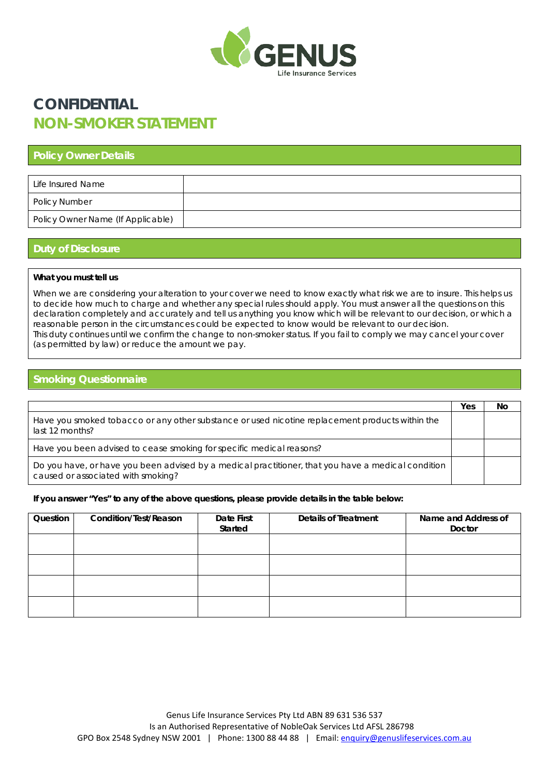

# **CONFIDENTIAL NON-SMOKER STATEMENT**

## **Policy Owner Details**

| Life Insured Name                 |  |
|-----------------------------------|--|
| Policy Number                     |  |
| Policy Owner Name (If Applicable) |  |

## **Duty of Disclosure**

### **What you must tell us**

When we are considering your alteration to your cover we need to know exactly what risk we are to insure. This helps us to decide how much to charge and whether any special rules should apply. You must answer all the questions on this declaration completely and accurately and tell us anything you know which will be relevant to our decision, or which a reasonable person in the circumstances could be expected to know would be relevant to our decision. This duty continues until we confirm the change to non-smoker status. If you fail to comply we may cancel your cover (as permitted by law) or reduce the amount we pay.

## **Smoking Questionnaire**

|                                                                                                                                          | Yes | No |
|------------------------------------------------------------------------------------------------------------------------------------------|-----|----|
| Have you smoked tobacco or any other substance or used nicotine replacement products within the<br>last 12 months?                       |     |    |
| Have you been advised to cease smoking for specific medical reasons?                                                                     |     |    |
| Do you have, or have you been advised by a medical practitioner, that you have a medical condition<br>caused or associated with smoking? |     |    |

#### **If you answer "Yes" to any of the above questions, please provide details in the table below:**

| Question | Condition/Test/Reason | Date First<br>Started | Details of Treatment | Name and Address of<br>Doctor |
|----------|-----------------------|-----------------------|----------------------|-------------------------------|
|          |                       |                       |                      |                               |
|          |                       |                       |                      |                               |
|          |                       |                       |                      |                               |
|          |                       |                       |                      |                               |